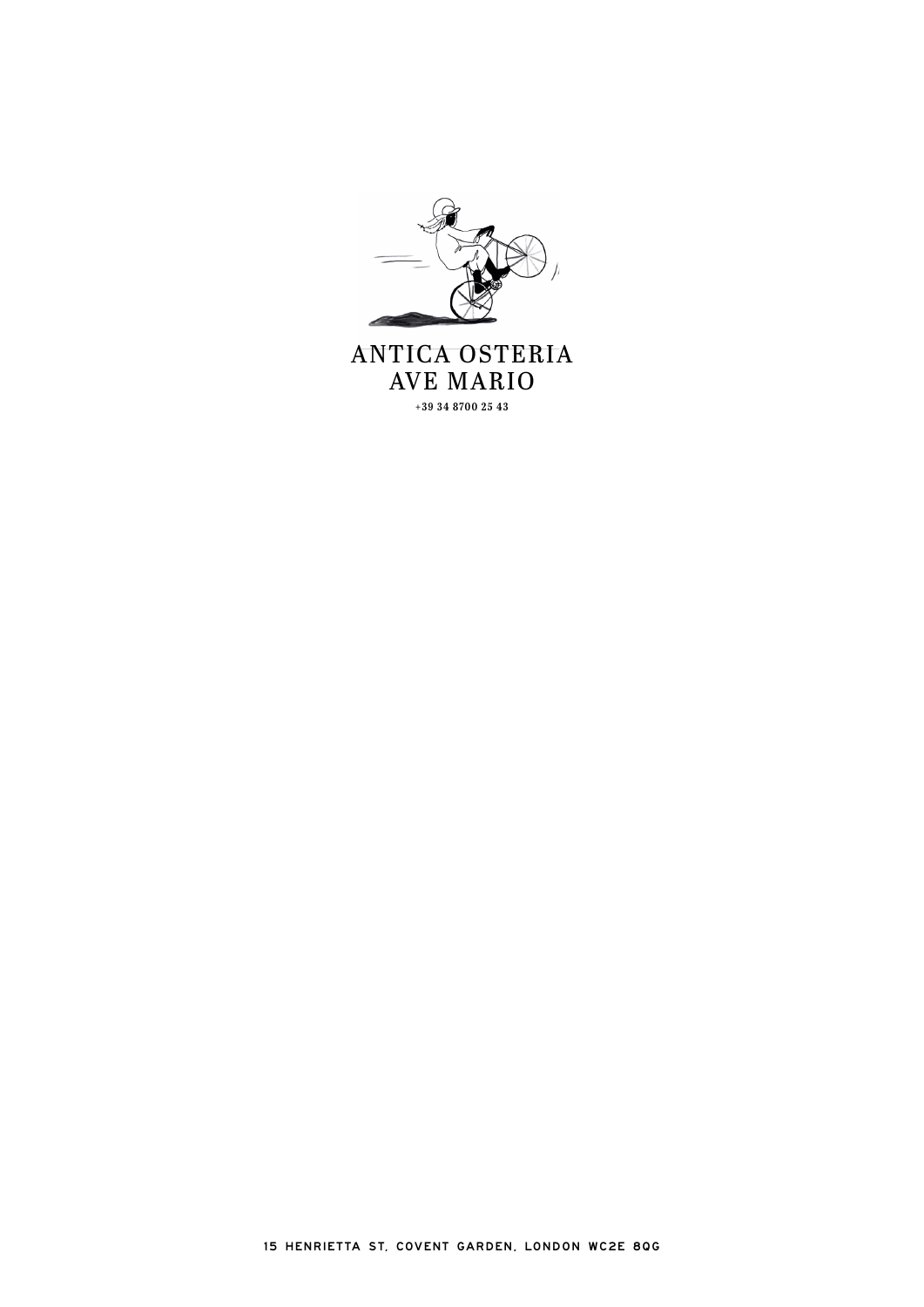

**AVE MARIO** +39 34 8700 25 43